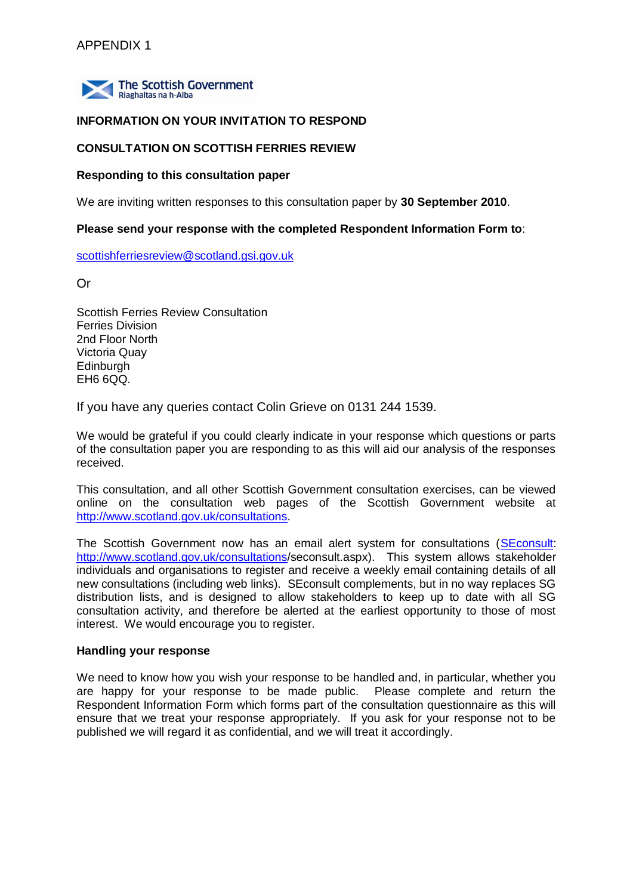

#### **INFORMATION ON YOUR INVITATION TO RESPOND**

## **CONSULTATION ON SCOTTISH FERRIES REVIEW**

#### **Responding to this consultation paper**

We are inviting written responses to this consultation paper by **30 September 2010**.

#### **Please send your response with the completed Respondent Information Form to**:

[scottishferriesreview@scotland.gsi.gov.uk](mailto:scottishferriesreview@scotland.gsi.gov.uk)

Or

Scottish Ferries Review Consultation Ferries Division 2nd Floor North Victoria Quay Edinburgh EH6 6QQ.

If you have any queries contact Colin Grieve on 0131 244 1539.

We would be grateful if you could clearly indicate in your response which questions or parts of the consultation paper you are responding to as this will aid our analysis of the responses received.

This consultation, and all other Scottish Government consultation exercises, can be viewed online on the consultation web pages of the Scottish Government website at [http://www.scotland.gov.uk/consultations.](http://www.scotland.gov.uk/consultations)

The Scottish Government now has an email alert system for consultations [\(SEconsult:](http://www.scotland.gov.uk/consultations/seconsult.aspx) [http://www.scotland.gov.uk/consultations/](http://www.scotland.gov.uk/consultations)seconsult.aspx). This system allows stakeholder individuals and organisations to register and receive a weekly email containing details of all new consultations (including web links). SEconsult complements, but in no way replaces SG distribution lists, and is designed to allow stakeholders to keep up to date with all SG consultation activity, and therefore be alerted at the earliest opportunity to those of most interest. We would encourage you to register.

#### **Handling your response**

We need to know how you wish your response to be handled and, in particular, whether you are happy for your response to be made public. Please complete and return the Respondent Information Form which forms part of the consultation questionnaire as this will ensure that we treat your response appropriately. If you ask for your response not to be published we will regard it as confidential, and we will treat it accordingly.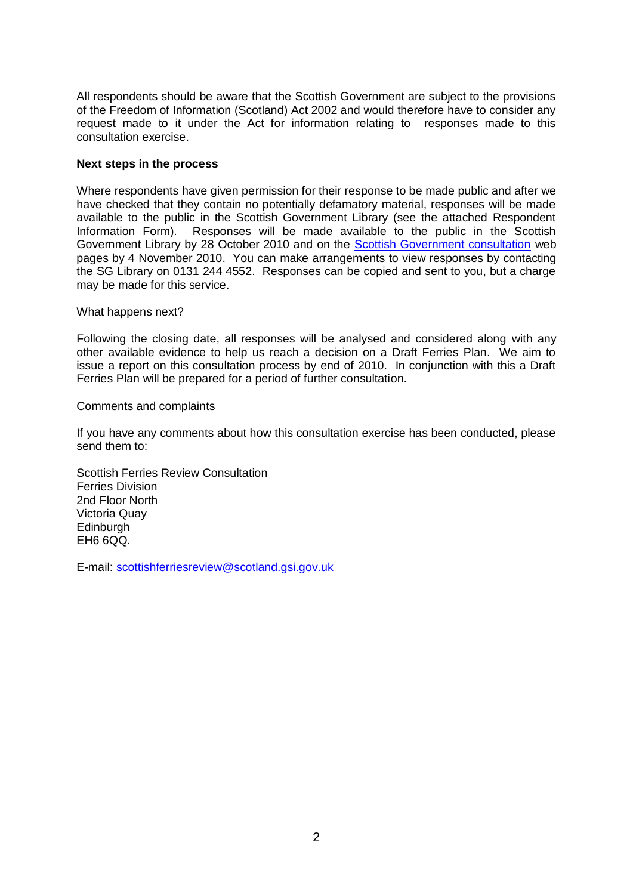All respondents should be aware that the Scottish Government are subject to the provisions of the Freedom of Information (Scotland) Act 2002 and would therefore have to consider any request made to it under the Act for information relating to responses made to this consultation exercise.

#### **Next steps in the process**

Where respondents have given permission for their response to be made public and after we have checked that they contain no potentially defamatory material, responses will be made available to the public in the Scottish Government Library (see the attached Respondent Information Form). Responses will be made available to the public in the Scottish Government Library by 28 October 2010 and on the [Scottish Government consultation](http://www.scotland.gov.uk/consultations) web pages by 4 November 2010. You can make arrangements to view responses by contacting the SG Library on 0131 244 4552. Responses can be copied and sent to you, but a charge may be made for this service.

#### What happens next?

Following the closing date, all responses will be analysed and considered along with any other available evidence to help us reach a decision on a Draft Ferries Plan. We aim to issue a report on this consultation process by end of 2010. In conjunction with this a Draft Ferries Plan will be prepared for a period of further consultation.

#### Comments and complaints

If you have any comments about how this consultation exercise has been conducted, please send them to:

Scottish Ferries Review Consultation Ferries Division 2nd Floor North Victoria Quay Edinburgh EH6 6QQ.

E-mail: [scottishferriesreview@scotland.gsi.gov.uk](mailto:scottishferriesreview@scotland.gsi.gov.uk)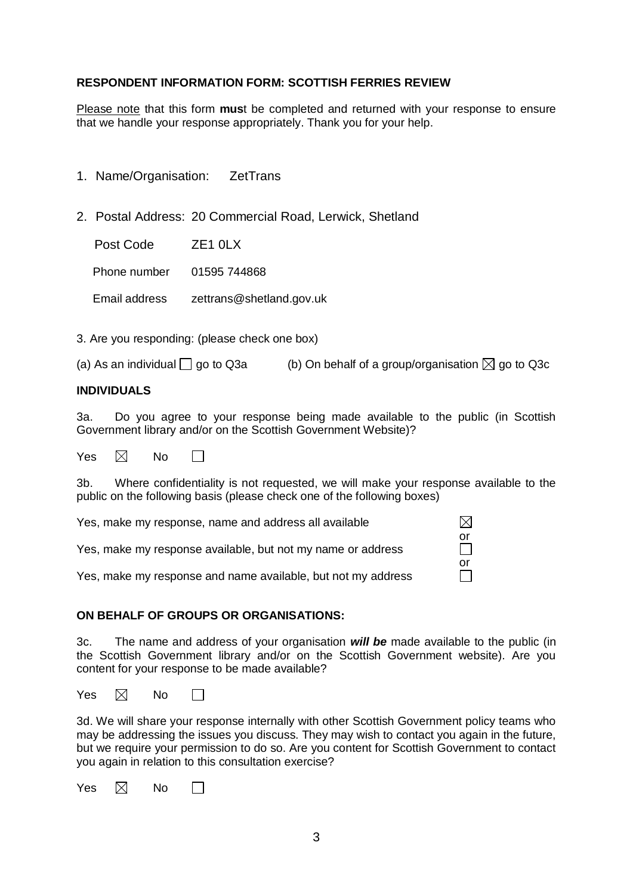#### **RESPONDENT INFORMATION FORM: SCOTTISH FERRIES REVIEW**

Please note that this form **mus**t be completed and returned with your response to ensure that we handle your response appropriately. Thank you for your help.

| 1. Name/Organisation: | <b>ZetTrans</b> |
|-----------------------|-----------------|
|                       |                 |

2. Postal Address: 20 Commercial Road, Lerwick, Shetland

Post Code ZE1 0LX

Phone number 01595 744868

Email address zettrans@shetland.gov.uk

3. Are you responding: (please check one box)

(a) As an individual  $\Box$  go to Q3a (b) On behalf of a group/organisation  $\boxtimes$  go to Q3c

#### **INDIVIDUALS**

3a. Do you agree to your response being made available to the public (in Scottish Government library and/or on the Scottish Government Website)?

Yes  $\boxtimes$  No  $\Box$ 

3b. Where confidentiality is not requested, we will make your response available to the public on the following basis (please check one of the following boxes)

or

 $\Box$ 

 $\boxtimes$ 

| Yes, make my response, name and address all available |  |
|-------------------------------------------------------|--|
|                                                       |  |

Yes, make my response available, but not my name or address

|  | Yes, make my response and name available, but not my address |
|--|--------------------------------------------------------------|
|  |                                                              |

#### **ON BEHALF OF GROUPS OR ORGANISATIONS:**

3c. The name and address of your organisation *will be* made available to the public (in the Scottish Government library and/or on the Scottish Government website). Are you content for your response to be made available?

Yes  $\boxtimes$  No П

3d. We will share your response internally with other Scottish Government policy teams who may be addressing the issues you discuss. They may wish to contact you again in the future, but we require your permission to do so. Are you content for Scottish Government to contact you again in relation to this consultation exercise?

| Yes | $\boxtimes$ | No |  |
|-----|-------------|----|--|
|-----|-------------|----|--|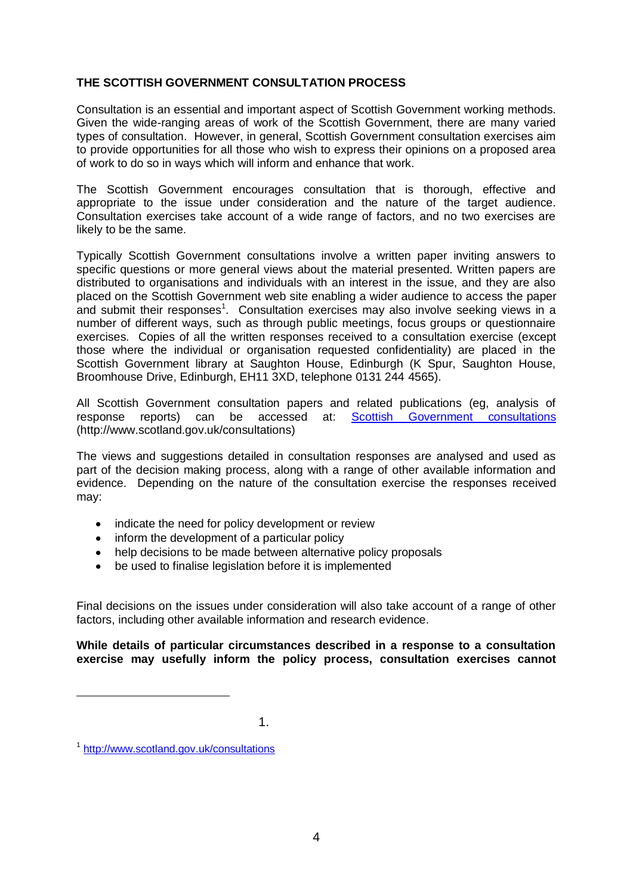## **THE SCOTTISH GOVERNMENT CONSULTATION PROCESS**

Consultation is an essential and important aspect of Scottish Government working methods. Given the wide-ranging areas of work of the Scottish Government, there are many varied types of consultation. However, in general, Scottish Government consultation exercises aim to provide opportunities for all those who wish to express their opinions on a proposed area of work to do so in ways which will inform and enhance that work.

The Scottish Government encourages consultation that is thorough, effective and appropriate to the issue under consideration and the nature of the target audience. Consultation exercises take account of a wide range of factors, and no two exercises are likely to be the same.

Typically Scottish Government consultations involve a written paper inviting answers to specific questions or more general views about the material presented. Written papers are distributed to organisations and individuals with an interest in the issue, and they are also placed on the Scottish Government web site enabling a wider audience to access the paper and submit their responses<sup>1</sup>. Consultation exercises may also involve seeking views in a number of different ways, such as through public meetings, focus groups or questionnaire exercises. Copies of all the written responses received to a consultation exercise (except those where the individual or organisation requested confidentiality) are placed in the Scottish Government library at Saughton House, Edinburgh (K Spur, Saughton House, Broomhouse Drive, Edinburgh, EH11 3XD, telephone 0131 244 4565).

All Scottish Government consultation papers and related publications (eg, analysis of response reports) can be accessed at: [Scottish Government consultations](http://www.scotland.gov.uk/consultations) (http://www.scotland.gov.uk/consultations)

The views and suggestions detailed in consultation responses are analysed and used as part of the decision making process, along with a range of other available information and evidence. Depending on the nature of the consultation exercise the responses received may:

- indicate the need for policy development or review
- inform the development of a particular policy
- help decisions to be made between alternative policy proposals
- $\bullet$ be used to finalise legislation before it is implemented

Final decisions on the issues under consideration will also take account of a range of other factors, including other available information and research evidence.

**While details of particular circumstances described in a response to a consultation exercise may usefully inform the policy process, consultation exercises cannot** 

1.

<u>.</u>

<sup>1</sup> <http://www.scotland.gov.uk/consultations>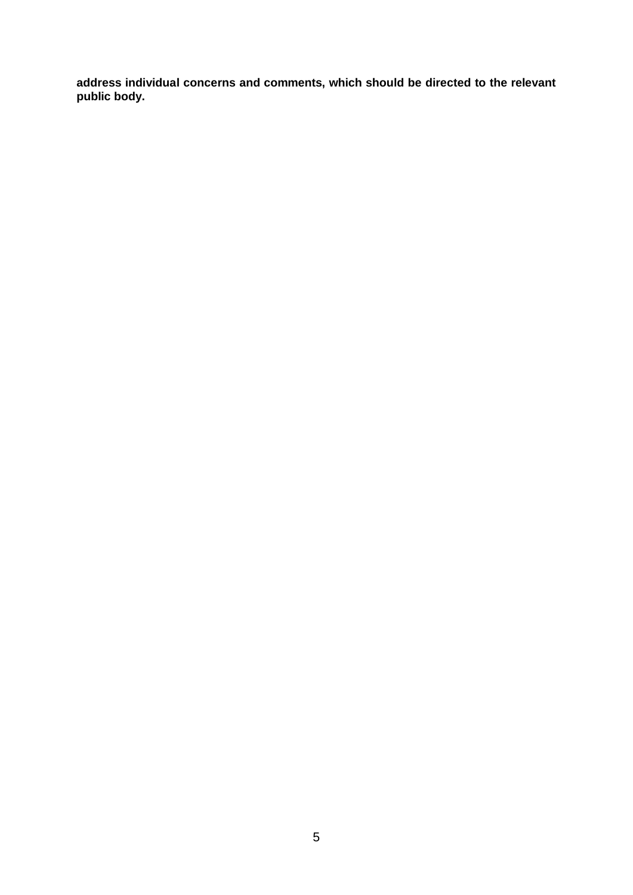**address individual concerns and comments, which should be directed to the relevant public body.**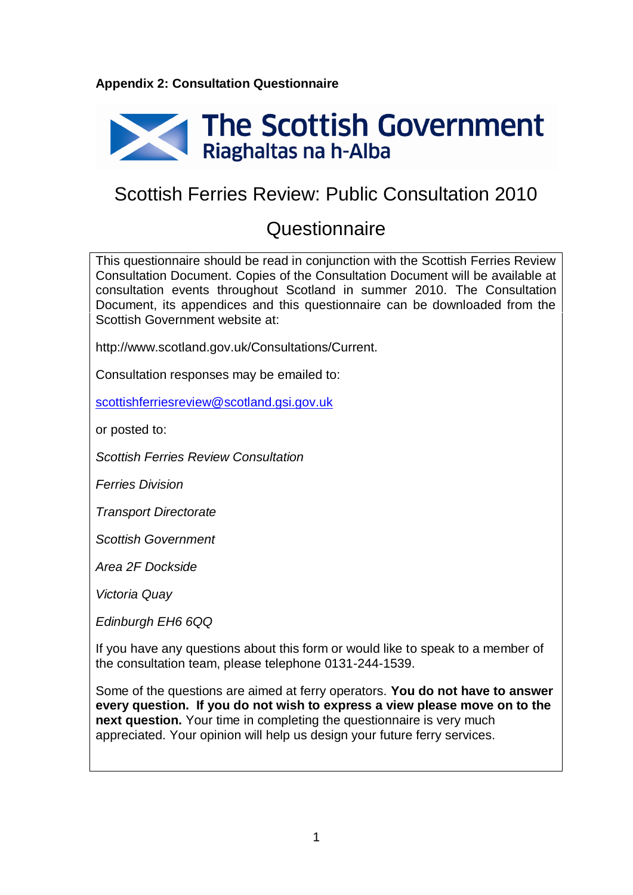## **Appendix 2: Consultation Questionnaire**



# Scottish Ferries Review: Public Consultation 2010

## **Questionnaire**

This questionnaire should be read in conjunction with the Scottish Ferries Review Consultation Document. Copies of the Consultation Document will be available at consultation events throughout Scotland in summer 2010. The Consultation Document, its appendices and this questionnaire can be downloaded from the Scottish Government website at:

http://www.scotland.gov.uk/Consultations/Current.

Consultation responses may be emailed to:

[scottishferriesreview@scotland.gsi.gov.uk](mailto:scottishferriesreview@scotland.gsi.gov.uk)

or posted to:

*Scottish Ferries Review Consultation*

*Ferries Division*

*Transport Directorate*

*Scottish Government*

*Area 2F Dockside*

*Victoria Quay* 

*Edinburgh EH6 6QQ*

If you have any questions about this form or would like to speak to a member of the consultation team, please telephone 0131-244-1539.

Some of the questions are aimed at ferry operators. **You do not have to answer every question. If you do not wish to express a view please move on to the next question.** Your time in completing the questionnaire is very much appreciated. Your opinion will help us design your future ferry services.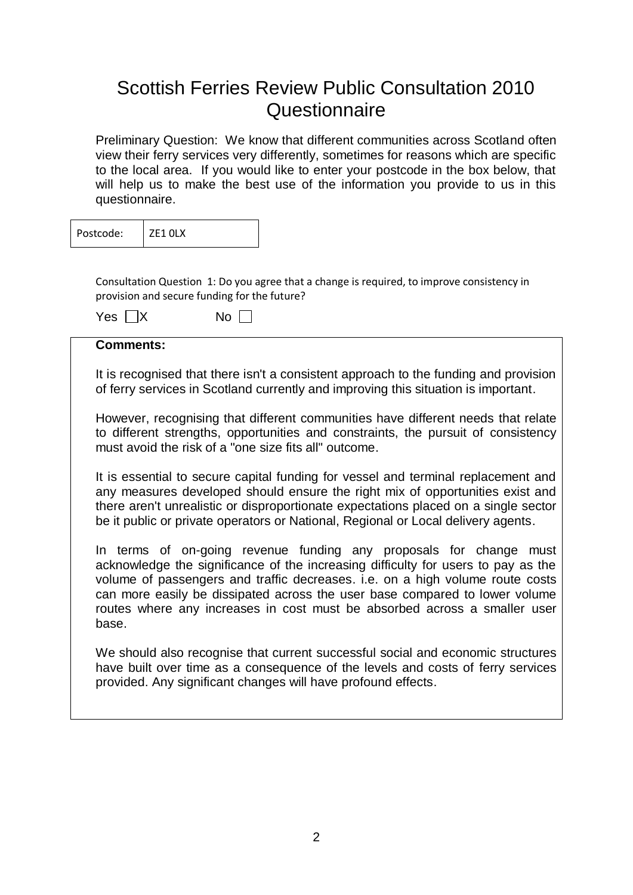# Scottish Ferries Review Public Consultation 2010 **Questionnaire**

Preliminary Question: We know that different communities across Scotland often view their ferry services very differently, sometimes for reasons which are specific to the local area. If you would like to enter your postcode in the box below, that will help us to make the best use of the information you provide to us in this questionnaire.

| Postcode: | ZF1 OLX |
|-----------|---------|
|-----------|---------|

Consultation Question 1: Do you agree that a change is required, to improve consistency in provision and secure funding for the future?

| Yes $\Box X$ | No <sub>1</sub> |
|--------------|-----------------|
|--------------|-----------------|

## **Comments:**

It is recognised that there isn't a consistent approach to the funding and provision of ferry services in Scotland currently and improving this situation is important.

However, recognising that different communities have different needs that relate to different strengths, opportunities and constraints, the pursuit of consistency must avoid the risk of a "one size fits all" outcome.

It is essential to secure capital funding for vessel and terminal replacement and any measures developed should ensure the right mix of opportunities exist and there aren't unrealistic or disproportionate expectations placed on a single sector be it public or private operators or National, Regional or Local delivery agents.

In terms of on-going revenue funding any proposals for change must acknowledge the significance of the increasing difficulty for users to pay as the volume of passengers and traffic decreases. i.e. on a high volume route costs can more easily be dissipated across the user base compared to lower volume routes where any increases in cost must be absorbed across a smaller user base.

We should also recognise that current successful social and economic structures have built over time as a consequence of the levels and costs of ferry services provided. Any significant changes will have profound effects.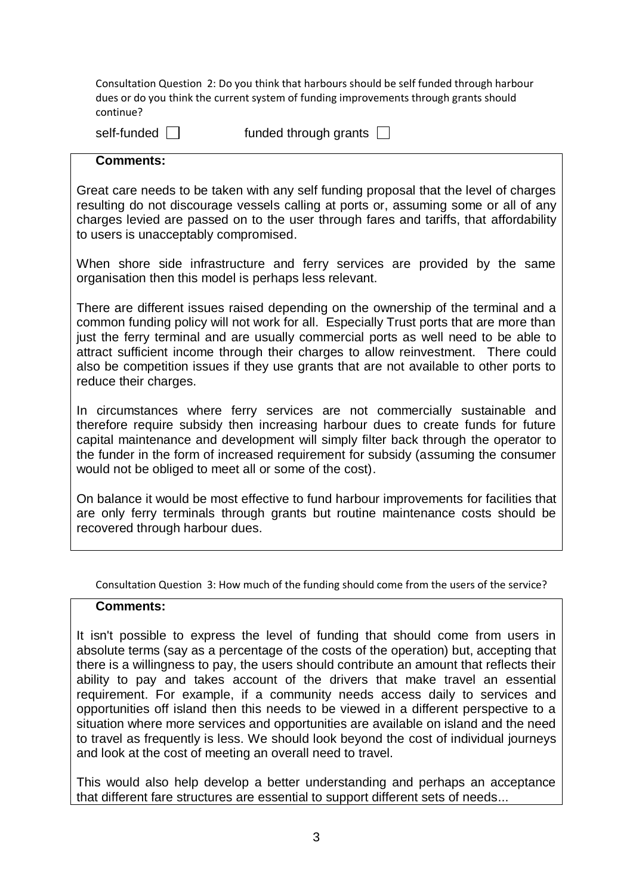Consultation Question 2: Do you think that harbours should be self funded through harbour dues or do you think the current system of funding improvements through grants should continue?

self-funded  $\Box$  funded through grants  $\Box$ 

## **Comments:**

Great care needs to be taken with any self funding proposal that the level of charges resulting do not discourage vessels calling at ports or, assuming some or all of any charges levied are passed on to the user through fares and tariffs, that affordability to users is unacceptably compromised.

When shore side infrastructure and ferry services are provided by the same organisation then this model is perhaps less relevant.

There are different issues raised depending on the ownership of the terminal and a common funding policy will not work for all. Especially Trust ports that are more than just the ferry terminal and are usually commercial ports as well need to be able to attract sufficient income through their charges to allow reinvestment. There could also be competition issues if they use grants that are not available to other ports to reduce their charges.

In circumstances where ferry services are not commercially sustainable and therefore require subsidy then increasing harbour dues to create funds for future capital maintenance and development will simply filter back through the operator to the funder in the form of increased requirement for subsidy (assuming the consumer would not be obliged to meet all or some of the cost).

On balance it would be most effective to fund harbour improvements for facilities that are only ferry terminals through grants but routine maintenance costs should be recovered through harbour dues.

Consultation Question 3: How much of the funding should come from the users of the service?

#### **Comments:**

It isn't possible to express the level of funding that should come from users in absolute terms (say as a percentage of the costs of the operation) but, accepting that there is a willingness to pay, the users should contribute an amount that reflects their ability to pay and takes account of the drivers that make travel an essential requirement. For example, if a community needs access daily to services and opportunities off island then this needs to be viewed in a different perspective to a situation where more services and opportunities are available on island and the need to travel as frequently is less. We should look beyond the cost of individual journeys and look at the cost of meeting an overall need to travel.

This would also help develop a better understanding and perhaps an acceptance that different fare structures are essential to support different sets of needs...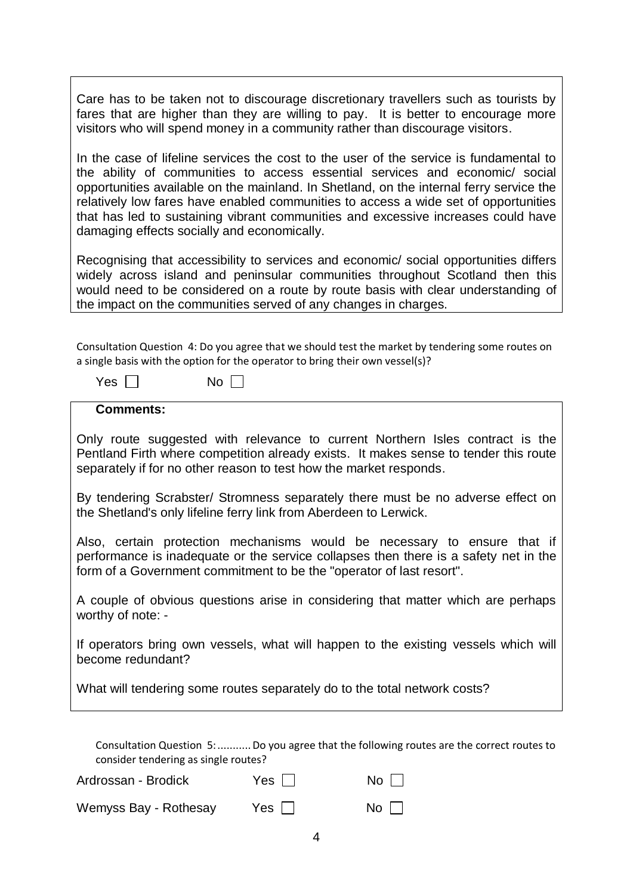Care has to be taken not to discourage discretionary travellers such as tourists by fares that are higher than they are willing to pay. It is better to encourage more visitors who will spend money in a community rather than discourage visitors.

In the case of lifeline services the cost to the user of the service is fundamental to the ability of communities to access essential services and economic/ social opportunities available on the mainland. In Shetland, on the internal ferry service the relatively low fares have enabled communities to access a wide set of opportunities that has led to sustaining vibrant communities and excessive increases could have damaging effects socially and economically.

Recognising that accessibility to services and economic/ social opportunities differs widely across island and peninsular communities throughout Scotland then this would need to be considered on a route by route basis with clear understanding of the impact on the communities served of any changes in charges.

Consultation Question 4: Do you agree that we should test the market by tendering some routes on a single basis with the option for the operator to bring their own vessel(s)?

| Yes | No |
|-----|----|
|-----|----|

| <b>Comments:</b> |
|------------------|
|------------------|

Only route suggested with relevance to current Northern Isles contract is the Pentland Firth where competition already exists. It makes sense to tender this route separately if for no other reason to test how the market responds.

By tendering Scrabster/ Stromness separately there must be no adverse effect on the Shetland's only lifeline ferry link from Aberdeen to Lerwick.

Also, certain protection mechanisms would be necessary to ensure that if performance is inadequate or the service collapses then there is a safety net in the form of a Government commitment to be the "operator of last resort".

A couple of obvious questions arise in considering that matter which are perhaps worthy of note: -

If operators bring own vessels, what will happen to the existing vessels which will become redundant?

What will tendering some routes separately do to the total network costs?

Consultation Question 5:...........Do you agree that the following routes are the correct routes to consider tendering as single routes?

| Wemyss Bay - Rothesay | Yes $\Box$ | No $\square$ |
|-----------------------|------------|--------------|

Ardrossan - Brodick Yes  $\Box$  No  $\Box$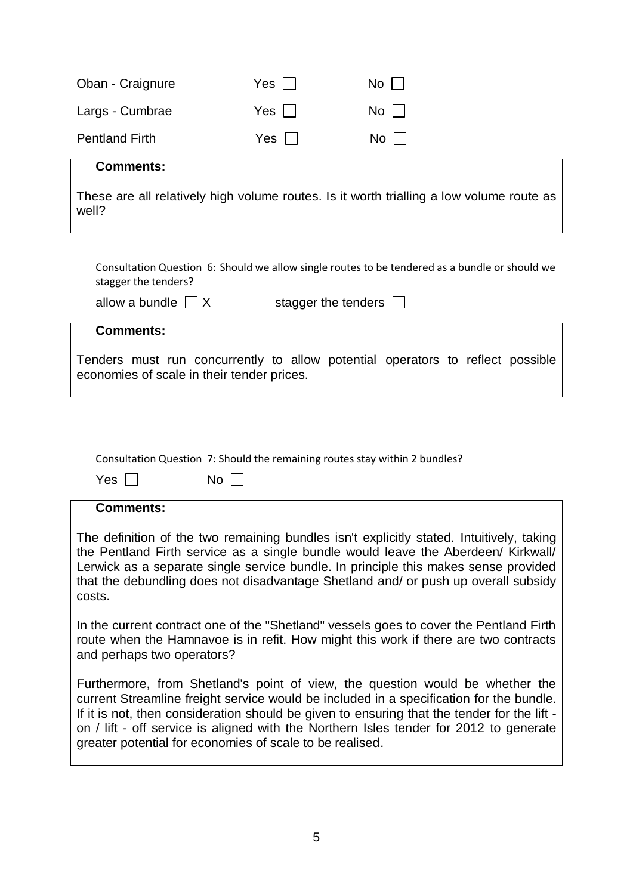| Oban - Craignure                                                            | Yes   | No                                                                                                                                                                                                                                                                                                                                                                |
|-----------------------------------------------------------------------------|-------|-------------------------------------------------------------------------------------------------------------------------------------------------------------------------------------------------------------------------------------------------------------------------------------------------------------------------------------------------------------------|
| Largs - Cumbrae                                                             | $Yes$ | $No$ $ $                                                                                                                                                                                                                                                                                                                                                          |
| <b>Pentland Firth</b>                                                       | $Yes$ | No I                                                                                                                                                                                                                                                                                                                                                              |
| <b>Comments:</b>                                                            |       |                                                                                                                                                                                                                                                                                                                                                                   |
| well?                                                                       |       | These are all relatively high volume routes. Is it worth trialling a low volume route as                                                                                                                                                                                                                                                                          |
| stagger the tenders?                                                        |       | Consultation Question 6: Should we allow single routes to be tendered as a bundle or should we                                                                                                                                                                                                                                                                    |
| allow a bundle $\Box X$                                                     |       | stagger the tenders $\Box$                                                                                                                                                                                                                                                                                                                                        |
| <b>Comments:</b>                                                            |       |                                                                                                                                                                                                                                                                                                                                                                   |
| economies of scale in their tender prices.                                  |       | Tenders must run concurrently to allow potential operators to reflect possible                                                                                                                                                                                                                                                                                    |
|                                                                             |       |                                                                                                                                                                                                                                                                                                                                                                   |
|                                                                             |       |                                                                                                                                                                                                                                                                                                                                                                   |
| Consultation Question 7: Should the remaining routes stay within 2 bundles? |       |                                                                                                                                                                                                                                                                                                                                                                   |
| $No \Box$<br>Yes                                                            |       |                                                                                                                                                                                                                                                                                                                                                                   |
| <b>Comments:</b>                                                            |       |                                                                                                                                                                                                                                                                                                                                                                   |
| costs.                                                                      |       | The definition of the two remaining bundles isn't explicitly stated. Intuitively, taking<br>the Pentland Firth service as a single bundle would leave the Aberdeen/ Kirkwall/<br>Lerwick as a separate single service bundle. In principle this makes sense provided<br>that the debundling does not disadvantage Shetland and/ or push up overall subsidy        |
| and perhaps two operators?                                                  |       | In the current contract one of the "Shetland" vessels goes to cover the Pentland Firth<br>route when the Hamnavoe is in refit. How might this work if there are two contracts                                                                                                                                                                                     |
| greater potential for economies of scale to be realised.                    |       | Furthermore, from Shetland's point of view, the question would be whether the<br>current Streamline freight service would be included in a specification for the bundle.<br>If it is not, then consideration should be given to ensuring that the tender for the lift -<br>on / lift - off service is aligned with the Northern Isles tender for 2012 to generate |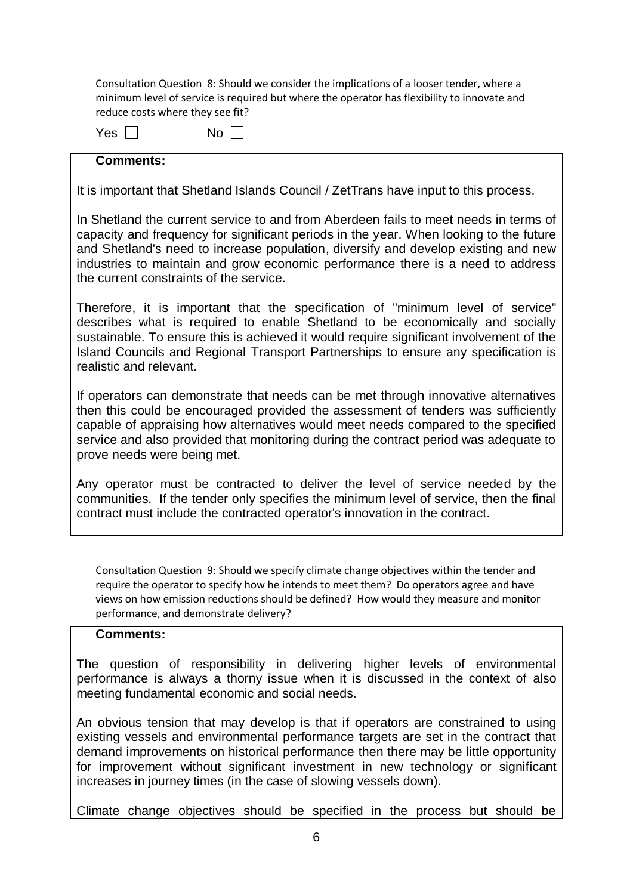Consultation Question 8: Should we consider the implications of a looser tender, where a minimum level of service is required but where the operator has flexibility to innovate and reduce costs where they see fit?

Yes  $\Box$  No  $\Box$ 

## **Comments:**

It is important that Shetland Islands Council / ZetTrans have input to this process.

In Shetland the current service to and from Aberdeen fails to meet needs in terms of capacity and frequency for significant periods in the year. When looking to the future and Shetland's need to increase population, diversify and develop existing and new industries to maintain and grow economic performance there is a need to address the current constraints of the service.

Therefore, it is important that the specification of "minimum level of service" describes what is required to enable Shetland to be economically and socially sustainable. To ensure this is achieved it would require significant involvement of the Island Councils and Regional Transport Partnerships to ensure any specification is realistic and relevant.

If operators can demonstrate that needs can be met through innovative alternatives then this could be encouraged provided the assessment of tenders was sufficiently capable of appraising how alternatives would meet needs compared to the specified service and also provided that monitoring during the contract period was adequate to prove needs were being met.

Any operator must be contracted to deliver the level of service needed by the communities. If the tender only specifies the minimum level of service, then the final contract must include the contracted operator's innovation in the contract.

Consultation Question 9: Should we specify climate change objectives within the tender and require the operator to specify how he intends to meet them? Do operators agree and have views on how emission reductions should be defined? How would they measure and monitor performance, and demonstrate delivery?

## **Comments:**

The question of responsibility in delivering higher levels of environmental performance is always a thorny issue when it is discussed in the context of also meeting fundamental economic and social needs.

An obvious tension that may develop is that if operators are constrained to using existing vessels and environmental performance targets are set in the contract that demand improvements on historical performance then there may be little opportunity for improvement without significant investment in new technology or significant increases in journey times (in the case of slowing vessels down).

Climate change objectives should be specified in the process but should be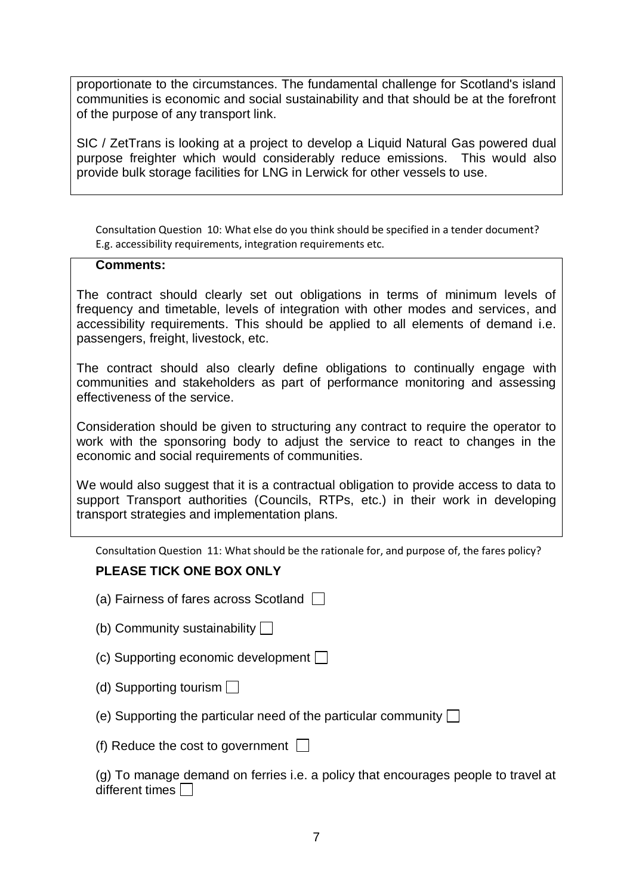proportionate to the circumstances. The fundamental challenge for Scotland's island communities is economic and social sustainability and that should be at the forefront of the purpose of any transport link.

SIC / ZetTrans is looking at a project to develop a Liquid Natural Gas powered dual purpose freighter which would considerably reduce emissions. This would also provide bulk storage facilities for LNG in Lerwick for other vessels to use.

Consultation Question 10: What else do you think should be specified in a tender document? E.g. accessibility requirements, integration requirements etc.

#### **Comments:**

The contract should clearly set out obligations in terms of minimum levels of frequency and timetable, levels of integration with other modes and services, and accessibility requirements. This should be applied to all elements of demand i.e. passengers, freight, livestock, etc.

The contract should also clearly define obligations to continually engage with communities and stakeholders as part of performance monitoring and assessing effectiveness of the service.

Consideration should be given to structuring any contract to require the operator to work with the sponsoring body to adjust the service to react to changes in the economic and social requirements of communities.

We would also suggest that it is a contractual obligation to provide access to data to support Transport authorities (Councils, RTPs, etc.) in their work in developing transport strategies and implementation plans.

Consultation Question 11: What should be the rationale for, and purpose of, the fares policy?

## **PLEASE TICK ONE BOX ONLY**

- (a) Fairness of fares across Scotland  $\Box$
- (b) Community sustainability  $\Box$
- (c) Supporting economic development  $\Box$
- (d) Supporting tourism  $\Box$
- (e) Supporting the particular need of the particular community  $\Box$

(f) Reduce the cost to government  $\Box$ 

(g) To manage demand on ferries i.e. a policy that encourages people to travel at different times  $\Box$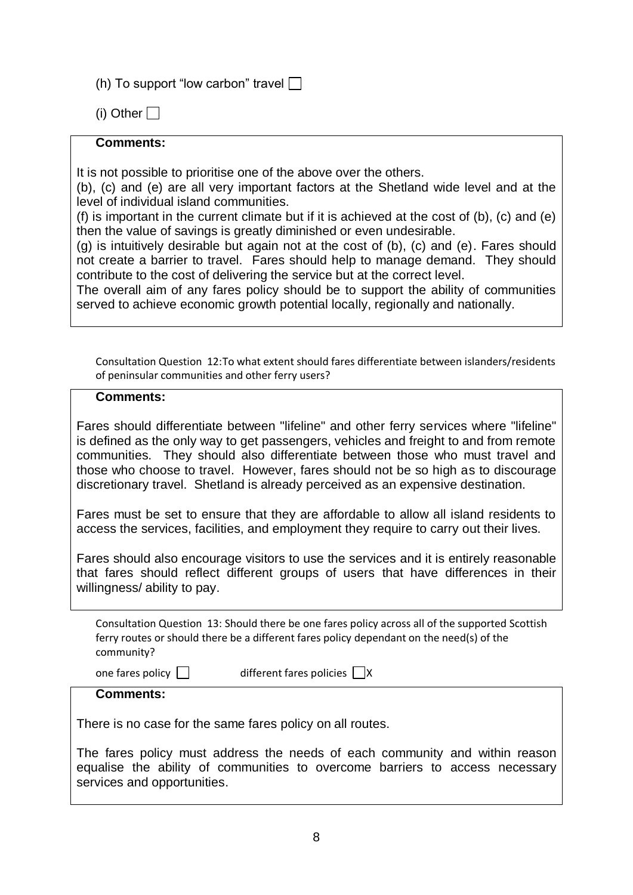(h) To support "low carbon" travel  $\Box$ 

(i) Other  $\Box$ 

## **Comments:**

It is not possible to prioritise one of the above over the others.

(b), (c) and (e) are all very important factors at the Shetland wide level and at the level of individual island communities.

(f) is important in the current climate but if it is achieved at the cost of (b), (c) and (e) then the value of savings is greatly diminished or even undesirable.

(g) is intuitively desirable but again not at the cost of (b), (c) and (e). Fares should not create a barrier to travel. Fares should help to manage demand. They should contribute to the cost of delivering the service but at the correct level.

The overall aim of any fares policy should be to support the ability of communities served to achieve economic growth potential locally, regionally and nationally.

Consultation Question 12:To what extent should fares differentiate between islanders/residents of peninsular communities and other ferry users?

## **Comments:**

Fares should differentiate between "lifeline" and other ferry services where "lifeline" is defined as the only way to get passengers, vehicles and freight to and from remote communities. They should also differentiate between those who must travel and those who choose to travel. However, fares should not be so high as to discourage discretionary travel. Shetland is already perceived as an expensive destination.

Fares must be set to ensure that they are affordable to allow all island residents to access the services, facilities, and employment they require to carry out their lives.

Fares should also encourage visitors to use the services and it is entirely reasonable that fares should reflect different groups of users that have differences in their willingness/ ability to pay.

Consultation Question 13: Should there be one fares policy across all of the supported Scottish ferry routes or should there be a different fares policy dependant on the need(s) of the community?

one fares policy  $\Box$  different fares policies  $\Box$  X

## **Comments:**

There is no case for the same fares policy on all routes.

The fares policy must address the needs of each community and within reason equalise the ability of communities to overcome barriers to access necessary services and opportunities.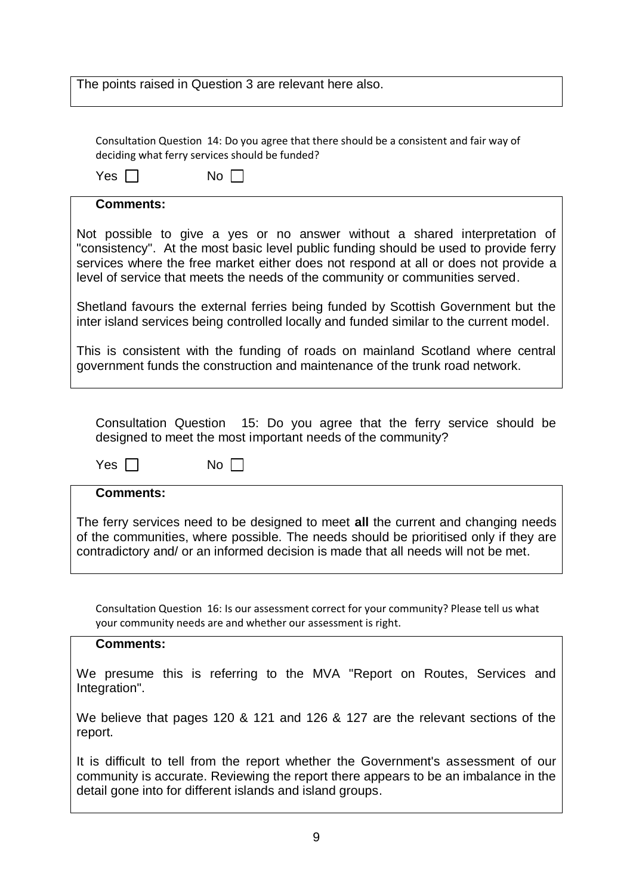| The points raised in Question 3 are relevant here also. |  |
|---------------------------------------------------------|--|
|                                                         |  |

Consultation Question 14: Do you agree that there should be a consistent and fair way of deciding what ferry services should be funded?

| Yes              | No.                                                                                                                                                                                                                                                                                                                                         |
|------------------|---------------------------------------------------------------------------------------------------------------------------------------------------------------------------------------------------------------------------------------------------------------------------------------------------------------------------------------------|
| <b>Comments:</b> |                                                                                                                                                                                                                                                                                                                                             |
|                  | Not possible to give a yes or no answer without a shared interpretation of<br>"consistency". At the most basic level public funding should be used to provide ferry<br>services where the free market either does not respond at all or does not provide a<br>level of service that meets the needs of the community or communities served. |
|                  | Shetland favours the external ferries being funded by Scottish Government but the<br>inter island services being controlled locally and funded similar to the current model.                                                                                                                                                                |
|                  | This is consistent with the funding of roads on mainland Scotland where central<br>government funds the construction and maintenance of the trunk road network.                                                                                                                                                                             |

Consultation Question 15: Do you agree that the ferry service should be designed to meet the most important needs of the community?

| Yes | No |
|-----|----|
|-----|----|

#### **Comments:**

The ferry services need to be designed to meet **all** the current and changing needs of the communities, where possible. The needs should be prioritised only if they are contradictory and/ or an informed decision is made that all needs will not be met.

Consultation Question 16: Is our assessment correct for your community? Please tell us what your community needs are and whether our assessment is right.

## **Comments:**

We presume this is referring to the MVA "Report on Routes, Services and Integration".

We believe that pages 120 & 121 and 126 & 127 are the relevant sections of the report.

It is difficult to tell from the report whether the Government's assessment of our community is accurate. Reviewing the report there appears to be an imbalance in the detail gone into for different islands and island groups.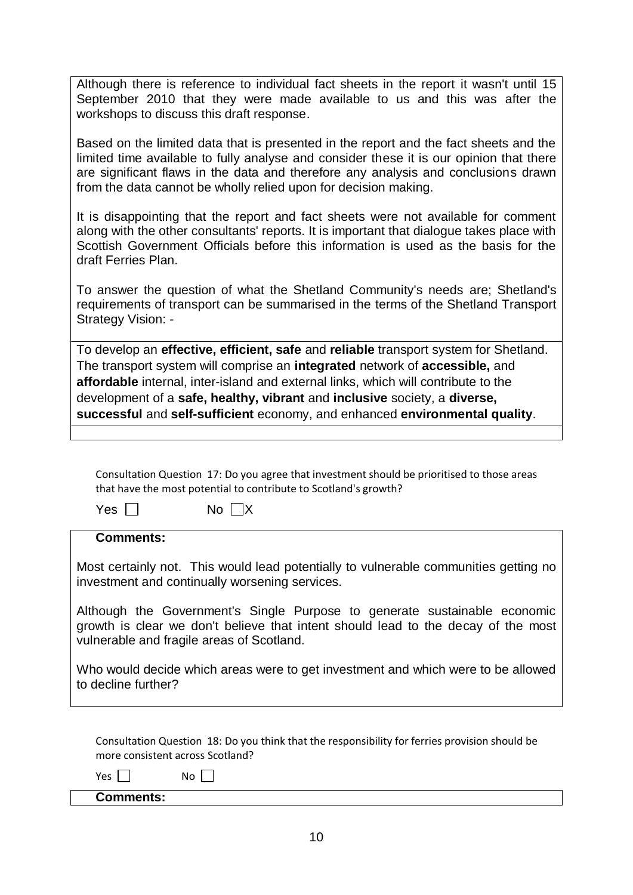Although there is reference to individual fact sheets in the report it wasn't until 15 September 2010 that they were made available to us and this was after the workshops to discuss this draft response.

Based on the limited data that is presented in the report and the fact sheets and the limited time available to fully analyse and consider these it is our opinion that there are significant flaws in the data and therefore any analysis and conclusions drawn from the data cannot be wholly relied upon for decision making.

It is disappointing that the report and fact sheets were not available for comment along with the other consultants' reports. It is important that dialogue takes place with Scottish Government Officials before this information is used as the basis for the draft Ferries Plan.

To answer the question of what the Shetland Community's needs are; Shetland's requirements of transport can be summarised in the terms of the Shetland Transport Strategy Vision: -

To develop an **effective, efficient, safe** and **reliable** transport system for Shetland. The transport system will comprise an **integrated** network of **accessible,** and **affordable** internal, inter-island and external links, which will contribute to the development of a **safe, healthy, vibrant** and **inclusive** society, a **diverse, successful** and **self-sufficient** economy, and enhanced **environmental quality**.

Consultation Question 17: Do you agree that investment should be prioritised to those areas that have the most potential to contribute to Scotland's growth?

 $Yes \Box$  No  $\Box X$ 

### **Comments:**

Most certainly not. This would lead potentially to vulnerable communities getting no investment and continually worsening services.

Although the Government's Single Purpose to generate sustainable economic growth is clear we don't believe that intent should lead to the decay of the most vulnerable and fragile areas of Scotland.

Who would decide which areas were to get investment and which were to be allowed to decline further?

Consultation Question 18: Do you think that the responsibility for ferries provision should be more consistent across Scotland?

 $Yes \Box$  No  $\Box$ 

## **Comments:**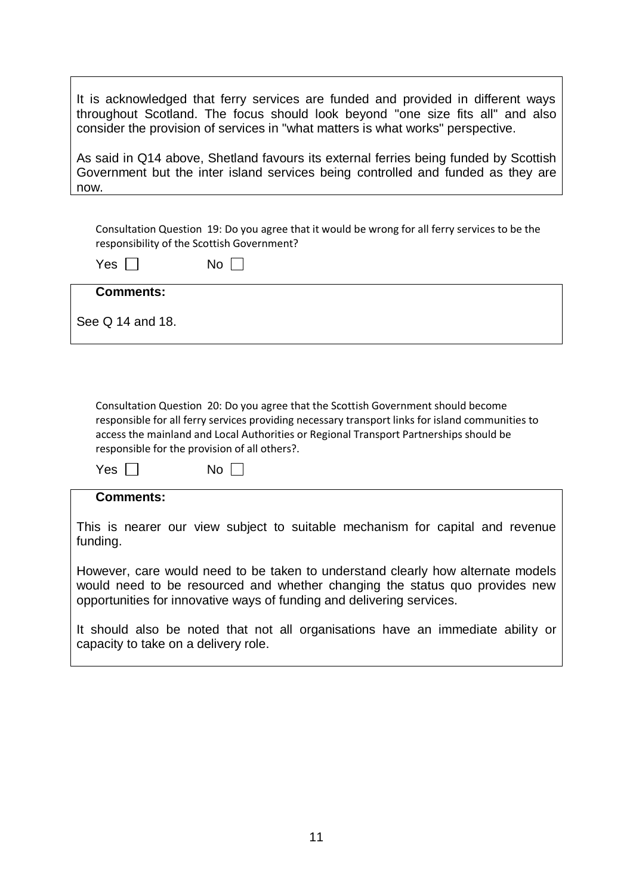| It is acknowledged that ferry services are funded and provided in different ways<br>throughout Scotland. The focus should look beyond "one size fits all" and also<br>consider the provision of services in "what matters is what works" perspective.                                                                            |
|----------------------------------------------------------------------------------------------------------------------------------------------------------------------------------------------------------------------------------------------------------------------------------------------------------------------------------|
| As said in Q14 above, Shetland favours its external ferries being funded by Scottish<br>Government but the inter island services being controlled and funded as they are<br>now.                                                                                                                                                 |
|                                                                                                                                                                                                                                                                                                                                  |
| Consultation Question 19: Do you agree that it would be wrong for all ferry services to be the<br>responsibility of the Scottish Government?                                                                                                                                                                                     |
| Yes  <br>No                                                                                                                                                                                                                                                                                                                      |
| <b>Comments:</b>                                                                                                                                                                                                                                                                                                                 |
| See Q 14 and 18.                                                                                                                                                                                                                                                                                                                 |
|                                                                                                                                                                                                                                                                                                                                  |
|                                                                                                                                                                                                                                                                                                                                  |
| Consultation Question 20: Do you agree that the Scottish Government should become<br>responsible for all ferry services providing necessary transport links for island communities to<br>access the mainland and Local Authorities or Regional Transport Partnerships should be<br>responsible for the provision of all others?. |
| Yes  <br>No                                                                                                                                                                                                                                                                                                                      |
| <b>Comments:</b>                                                                                                                                                                                                                                                                                                                 |
| This is nearer our view subject to suitable mechanism for capital and revenue<br>funding.                                                                                                                                                                                                                                        |
| However, care would need to be taken to understand clearly how alternate models<br>would need to be resourced and whether changing the status quo provides new<br>opportunities for innovative ways of funding and delivering services.                                                                                          |
| It should also be noted that not all organisations have an immediate ability or<br>capacity to take on a delivery role.                                                                                                                                                                                                          |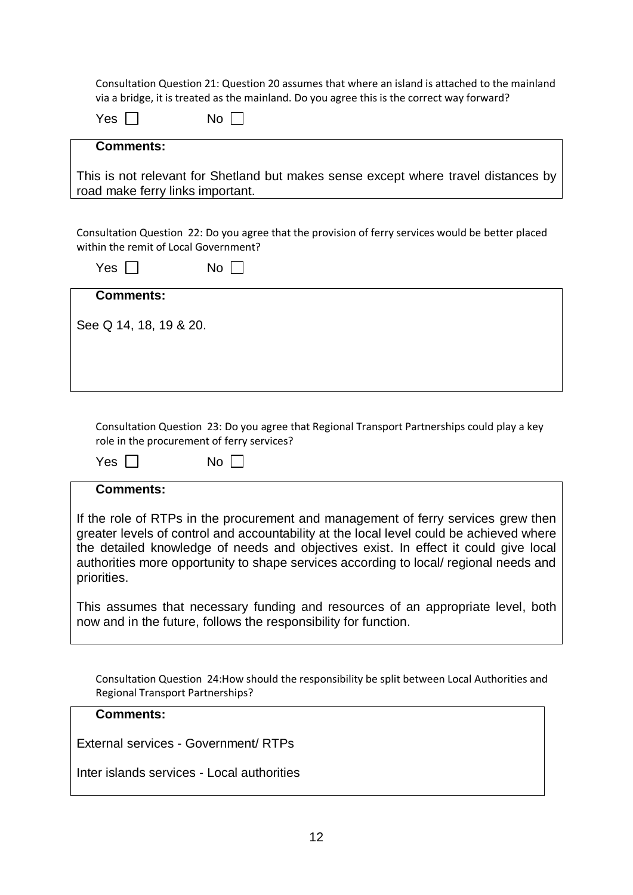Consultation Question 21: Question 20 assumes that where an island is attached to the mainland via a bridge, it is treated as the mainland. Do you agree this is the correct way forward?

| Yes                                   | No.                                                                                                |
|---------------------------------------|----------------------------------------------------------------------------------------------------|
| <b>Comments:</b>                      |                                                                                                    |
| road make ferry links important.      | This is not relevant for Shetland but makes sense except where travel distances by                 |
| within the remit of Local Government? | Consultation Question 22: Do you agree that the provision of ferry services would be better placed |
| $Yes$                                 | No.                                                                                                |
| <b>Comments:</b>                      |                                                                                                    |
| See Q 14, 18, 19 & 20.                |                                                                                                    |

Consultation Question 23: Do you agree that Regional Transport Partnerships could play a key role in the procurement of ferry services?

| Ÿ,<br>'es | No |
|-----------|----|
|-----------|----|

## **Comments:**

If the role of RTPs in the procurement and management of ferry services grew then greater levels of control and accountability at the local level could be achieved where the detailed knowledge of needs and objectives exist. In effect it could give local authorities more opportunity to shape services according to local/ regional needs and priorities.

This assumes that necessary funding and resources of an appropriate level, both now and in the future, follows the responsibility for function.

Consultation Question 24:How should the responsibility be split between Local Authorities and Regional Transport Partnerships?

#### **Comments:**

External services - Government/ RTPs

Inter islands services - Local authorities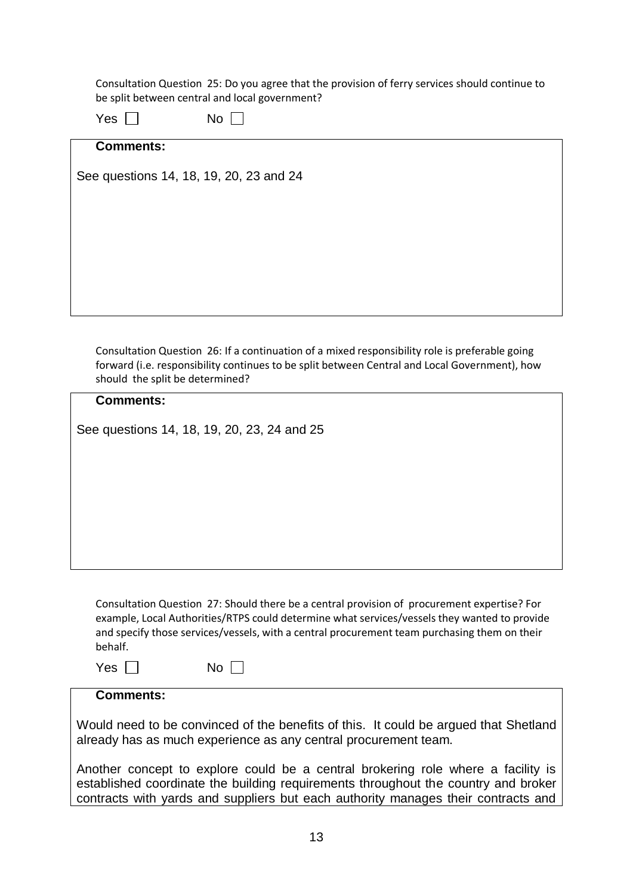Consultation Question 25: Do you agree that the provision of ferry services should continue to be split between central and local government?

| Yes |  | No |  |
|-----|--|----|--|
|-----|--|----|--|

## **Comments:**

See questions 14, 18, 19, 20, 23 and 24

Consultation Question 26: If a continuation of a mixed responsibility role is preferable going forward (i.e. responsibility continues to be split between Central and Local Government), how should the split be determined?

| <b>Comments:</b>                                                                              |
|-----------------------------------------------------------------------------------------------|
|                                                                                               |
| See questions 14, 18, 19, 20, 23, 24 and 25                                                   |
|                                                                                               |
|                                                                                               |
|                                                                                               |
|                                                                                               |
|                                                                                               |
|                                                                                               |
|                                                                                               |
|                                                                                               |
|                                                                                               |
|                                                                                               |
| Consultation Question 27: Should there be a central provision of procurement expertise? For   |
| example, Local Authorities/RTPS could determine what services/vessels they wanted to provide  |
| and specify those services/vessels, with a central procurement team purchasing them on their  |
| behalf.                                                                                       |
|                                                                                               |
| Yes  <br>$No$                                                                                 |
| <b>Comments:</b>                                                                              |
|                                                                                               |
| AMarchel and and the beneficial of the home fits of this. It seeds he a second that Objetized |

Would need to be convinced of the benefits of this. It could be argued that Shetland already has as much experience as any central procurement team.

Another concept to explore could be a central brokering role where a facility is established coordinate the building requirements throughout the country and broker contracts with yards and suppliers but each authority manages their contracts and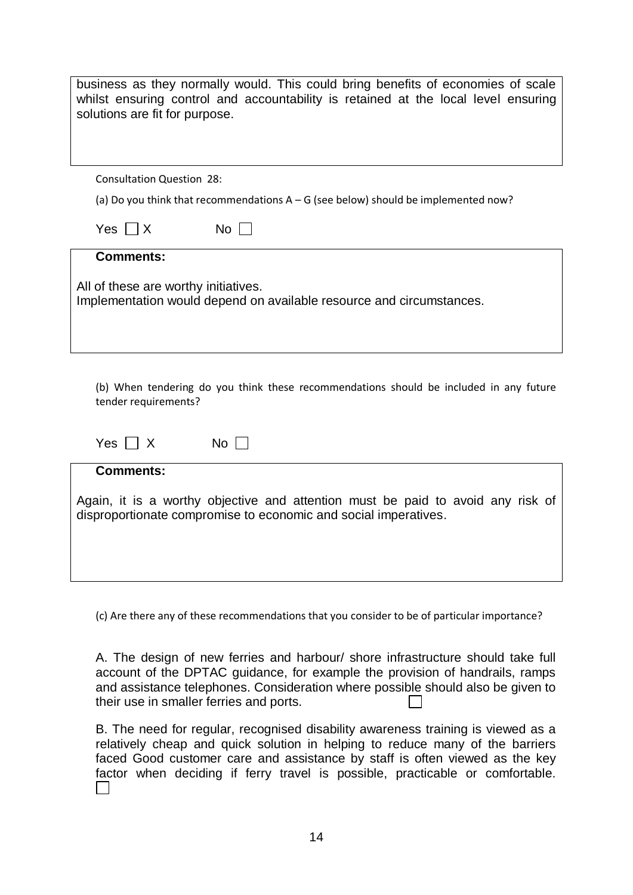| business as they normally would. This could bring benefits of economies of scale<br>whilst ensuring control and accountability is retained at the local level ensuring<br>solutions are fit for purpose. |
|----------------------------------------------------------------------------------------------------------------------------------------------------------------------------------------------------------|
| <b>Consultation Question 28:</b>                                                                                                                                                                         |
| (a) Do you think that recommendations $A - G$ (see below) should be implemented now?                                                                                                                     |
| $No$ $\Box$<br>$Yes \mid \mid X$                                                                                                                                                                         |
| <b>Comments:</b>                                                                                                                                                                                         |
| All of these are worthy initiatives.<br>Implementation would depend on available resource and circumstances.                                                                                             |
| (b) When tendering do you think these recommendations should be included in any future<br>tender requirements?<br>$Yes \mid \mid X$<br>$No$ $\vert \ \vert$                                              |
|                                                                                                                                                                                                          |
| <b>Comments:</b><br>Again, it is a worthy objective and attention must be paid to avoid any risk of<br>disproportionate compromise to economic and social imperatives.                                   |

(c) Are there any of these recommendations that you consider to be of particular importance?

A. The design of new ferries and harbour/ shore infrastructure should take full account of the DPTAC guidance, for example the provision of handrails, ramps and assistance telephones. Consideration where possible should also be given to their use in smaller ferries and ports.

B. The need for regular, recognised disability awareness training is viewed as a relatively cheap and quick solution in helping to reduce many of the barriers faced Good customer care and assistance by staff is often viewed as the key factor when deciding if ferry travel is possible, practicable or comfortable.  $\Box$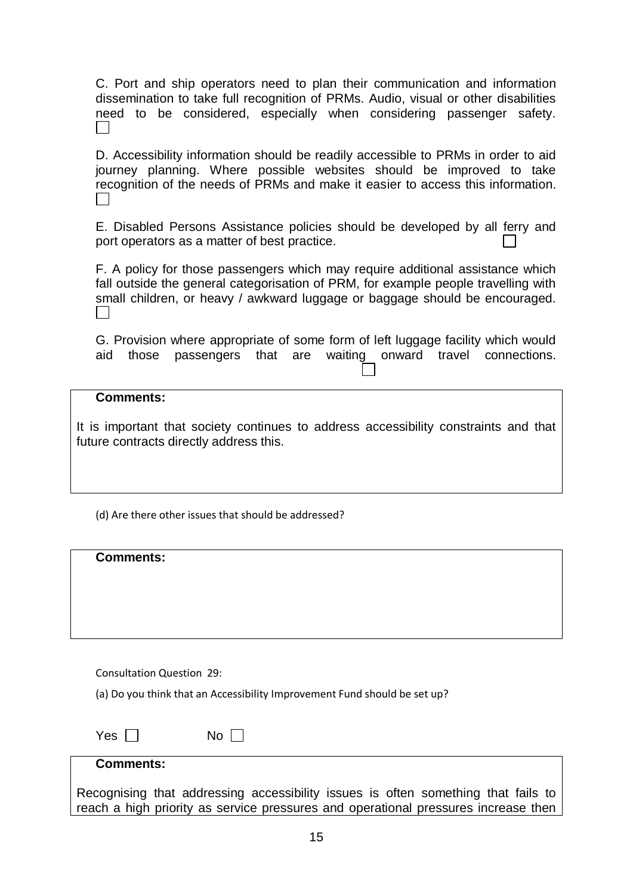C. Port and ship operators need to plan their communication and information dissemination to take full recognition of PRMs. Audio, visual or other disabilities need to be considered, especially when considering passenger safety.  $\perp$ 

D. Accessibility information should be readily accessible to PRMs in order to aid journey planning. Where possible websites should be improved to take recognition of the needs of PRMs and make it easier to access this information.

E. Disabled Persons Assistance policies should be developed by all ferry and port operators as a matter of best practice.

F. A policy for those passengers which may require additional assistance which fall outside the general categorisation of PRM, for example people travelling with small children, or heavy / awkward luggage or baggage should be encouraged.  $\perp$ 

G. Provision where appropriate of some form of left luggage facility which would aid those passengers that are waiting onward travel connections.

#### **Comments:**

It is important that society continues to address accessibility constraints and that future contracts directly address this.

(d) Are there other issues that should be addressed?

| <b>Comments:</b> |  |  |
|------------------|--|--|
|                  |  |  |
|                  |  |  |

Consultation Question 29:

(a) Do you think that an Accessibility Improvement Fund should be set up?

| Yes $\lceil$ | No |  |
|--------------|----|--|
|--------------|----|--|

#### **Comments:**

Recognising that addressing accessibility issues is often something that fails to reach a high priority as service pressures and operational pressures increase then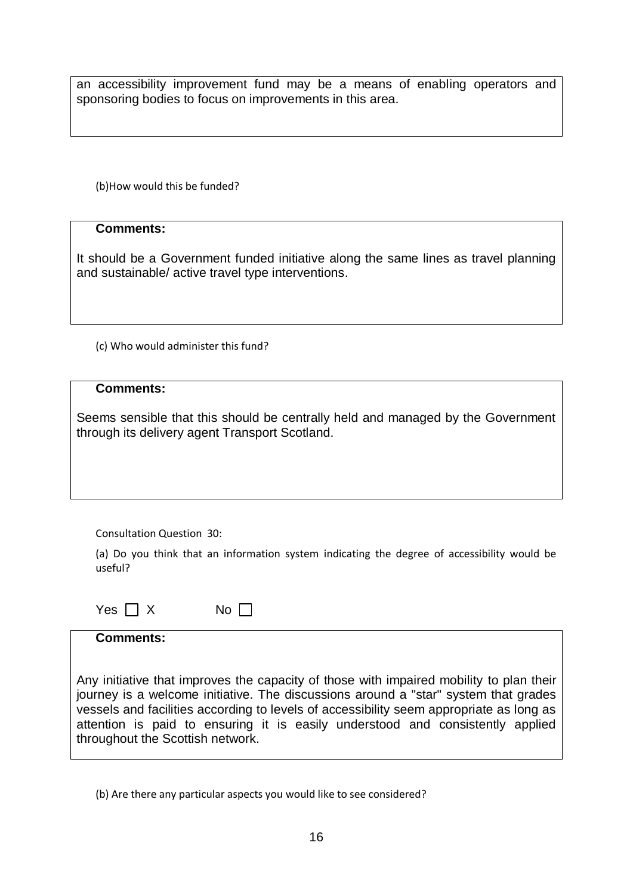an accessibility improvement fund may be a means of enabling operators and sponsoring bodies to focus on improvements in this area.

(b)How would this be funded?

## **Comments:**

It should be a Government funded initiative along the same lines as travel planning and sustainable/ active travel type interventions.

(c) Who would administer this fund?

## **Comments:**

Seems sensible that this should be centrally held and managed by the Government through its delivery agent Transport Scotland.

Consultation Question 30:

(a) Do you think that an information system indicating the degree of accessibility would be useful?

| Yes $\Box$ X | No $\square$ |
|--------------|--------------|
|--------------|--------------|

| <b>Comments:</b>                                                                                                                                                                                                                                                                                                                                                                                |
|-------------------------------------------------------------------------------------------------------------------------------------------------------------------------------------------------------------------------------------------------------------------------------------------------------------------------------------------------------------------------------------------------|
|                                                                                                                                                                                                                                                                                                                                                                                                 |
| Any initiative that improves the capacity of those with impaired mobility to plan their<br>journey is a welcome initiative. The discussions around a "star" system that grades<br>vessels and facilities according to levels of accessibility seem appropriate as long as<br>attention is paid to ensuring it is easily understood and consistently applied<br>throughout the Scottish network. |

(b) Are there any particular aspects you would like to see considered?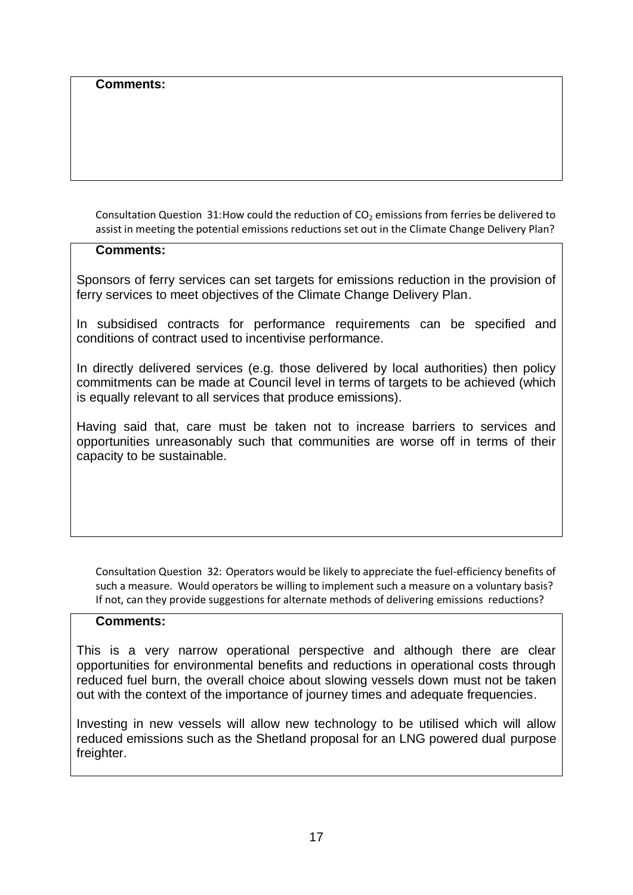## **Comments:**

Consultation Question 31:How could the reduction of  $CO<sub>2</sub>$  emissions from ferries be delivered to assist in meeting the potential emissions reductions set out in the Climate Change Delivery Plan?

## **Comments:**

Sponsors of ferry services can set targets for emissions reduction in the provision of ferry services to meet objectives of the Climate Change Delivery Plan.

In subsidised contracts for performance requirements can be specified and conditions of contract used to incentivise performance.

In directly delivered services (e.g. those delivered by local authorities) then policy commitments can be made at Council level in terms of targets to be achieved (which is equally relevant to all services that produce emissions).

Having said that, care must be taken not to increase barriers to services and opportunities unreasonably such that communities are worse off in terms of their capacity to be sustainable.

Consultation Question 32: Operators would be likely to appreciate the fuel-efficiency benefits of such a measure. Would operators be willing to implement such a measure on a voluntary basis? If not, can they provide suggestions for alternate methods of delivering emissions reductions?

## **Comments:**

This is a very narrow operational perspective and although there are clear opportunities for environmental benefits and reductions in operational costs through reduced fuel burn, the overall choice about slowing vessels down must not be taken out with the context of the importance of journey times and adequate frequencies.

Investing in new vessels will allow new technology to be utilised which will allow reduced emissions such as the Shetland proposal for an LNG powered dual purpose freighter.